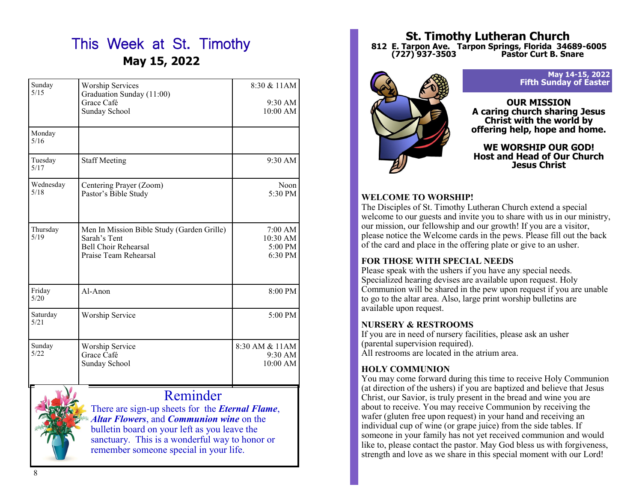# This Week at St. Timothy **May 15, 2022**

| Sunday<br>5/15    | <b>Worship Services</b><br>Graduation Sunday (11:00) | 8:30 & 11AM                  |
|-------------------|------------------------------------------------------|------------------------------|
|                   | Grace Café                                           | $9:30$ AM                    |
|                   | Sunday School                                        | $10:00$ AM                   |
| Monday<br>5/16    |                                                      |                              |
| Tuesday<br>5/17   | <b>Staff Meeting</b>                                 | $9:30$ AM                    |
| Wednesday<br>5/18 | Centering Prayer (Zoom)                              | Noon                         |
|                   | Pastor's Bible Study                                 | 5:30 PM                      |
| Thursday          | Men In Mission Bible Study (Garden Grille)           | 7:00 AM                      |
| 5/19              | Sarah's Tent                                         | 10:30 AM                     |
|                   | <b>Bell Choir Rehearsal</b><br>Praise Team Rehearsal | 5:00 PM<br>$6:30 \text{ PM}$ |
|                   |                                                      |                              |
| Friday<br>5/20    | $Al-A$ non                                           | $8:00 \text{ PM}$            |
| Saturday<br>5/21  | Worship Service                                      | $5:00 \text{ PM}$            |
| Sunday            | Worship Service                                      | 8:30 AM & 11AM               |
| 5/22              | Grace Café                                           | $9:30$ AM                    |
|                   | Sunday School                                        | $10:00$ AM                   |
|                   |                                                      |                              |



Reminder

There are sign-up sheets for the *Eternal Flame*, *Altar Flowers*, and *Communion wine* on the bulletin board on your left as you leave the sanctuary. This is a wonderful way to honor or remember someone special in your life.

# **St. Timothy Lutheran Church 812 E. Tarpon Ave. Tarpon Springs, Florida 34689-6005 (727) 937-3503 Pastor Curt B. Snare**



#### **May 14-15, 2022 Fifth Sunday of Easter**

**OUR MISSION A caring church sharing Jesus Christ with the world by offering help, hope and home.**

**WE WORSHIP OUR GOD! Host and Head of Our Church Jesus Christ**

# **WELCOME TO WORSHIP!**

The Disciples of St. Timothy Lutheran Church extend a special welcome to our guests and invite you to share with us in our ministry, our mission, our fellowship and our growth! If you are a visitor, please notice the Welcome cards in the pews. Please fill out the back of the card and place in the offering plate or give to an usher.

# **FOR THOSE WITH SPECIAL NEEDS**

Please speak with the ushers if you have any special needs. Specialized hearing devises are available upon request. Holy Communion will be shared in the pew upon request if you are unable to go to the altar area. Also, large print worship bulletins are available upon request.

# **NURSERY & RESTROOMS**

If you are in need of nursery facilities, please ask an usher (parental supervision required). All restrooms are located in the atrium area.

# **HOLY COMMUNION**

You may come forward during this time to receive Holy Communion (at direction of the ushers) if you are baptized and believe that Jesus Christ, our Savior, is truly present in the bread and wine you are about to receive. You may receive Communion by receiving the wafer (gluten free upon request) in your hand and receiving an individual cup of wine (or grape juice) from the side tables. If someone in your family has not yet received communion and would like to, please contact the pastor. May God bless us with forgiveness, strength and love as we share in this special moment with our Lord!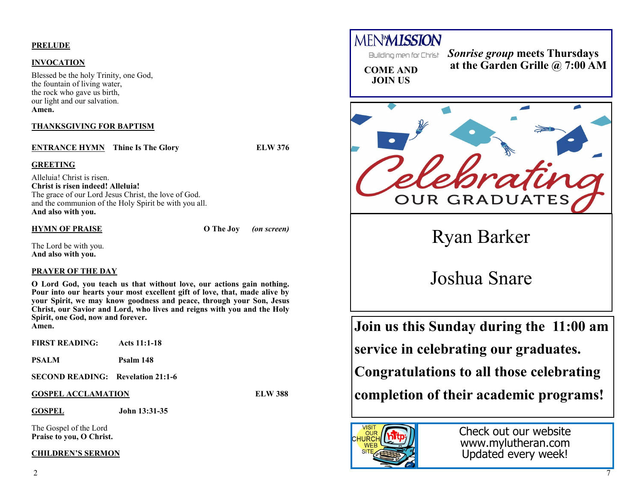# **PRELUDE**

# **INVOCATION**

Blessed be the holy Trinity, one God, the fountain of living water, the rock who gave us birth, our light and our salvation. **Amen.**

# **THANKSGIVING FOR BAPTISM**

**ENTRANCE HYMN** Thine Is The Glory **ELW 376** 

#### **GREETING**

Alleluia! Christ is risen. **Christ is risen indeed! Alleluia!** The grace of our Lord Jesus Christ, the love of God. and the communion of the Holy Spirit be with you all. **And also with you.**

## **HYMN OF PRAISE O The Joy** *(on screen)*

The Lord be with you. **And also with you.**

# **PRAYER OF THE DAY**

**O Lord God, you teach us that without love, our actions gain nothing. Pour into our hearts your most excellent gift of love, that, made alive by your Spirit, we may know goodness and peace, through your Son, Jesus Christ, our Savior and Lord, who lives and reigns with you and the Holy Spirit, one God, now and forever. Amen.**

| <b>FIRST READING:</b> Acts 11:1-18       |                |  |
|------------------------------------------|----------------|--|
| <b>PSALM</b>                             | Psalm 148      |  |
| <b>SECOND READING:</b> Revelation 21:1-6 |                |  |
| <b>GOSPEL ACCLAMATION</b>                | <b>ELW 388</b> |  |
| <b>GOSPEL</b>                            | John 13:31-35  |  |

The Gospel of the Lord **Praise to you, O Christ.**

#### **CHILDREN'S SERMON**

**MENMISSION** *Sonrise group* **meets Thursdays at the Garden Grille @ 7:00 AM COME AND JOIN US** OUR GRADUATES Ryan Barker Joshua Snare**Join us this Sunday during the 11:00 am service in celebrating our graduates.** 

**Congratulations to all those celebrating** 

**completion of their academic programs!**



Check out our website www.mylutheran.com Updated every week!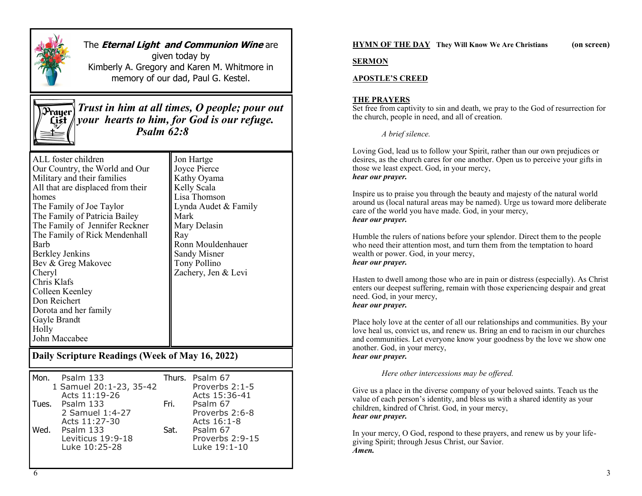

# The **Eternal Light and Communion Wine** are

given today by Kimberly A. Gregory and Karen M. Whitmore in memory of our dad, Paul G. Kestel.



*Trust in him at all times, O people; pour out your hearts to him, for God is our refuge. Psalm 62:8*

| ALL foster children               | Jon Hartge           |
|-----------------------------------|----------------------|
| Our Country, the World and Our    | Joyce Pierce         |
| Military and their families       | Kathy Oyama          |
| All that are displaced from their | Kelly Scala          |
| homes                             | Lisa Thomson         |
| The Family of Joe Taylor          | Lynda Audet & Family |
| The Family of Patricia Bailey     | Mark                 |
| The Family of Jennifer Reckner    | Mary Delasin         |
| The Family of Rick Mendenhall     | Ray                  |
| Barb                              | Ronn Mouldenhauer    |
| <b>Berkley Jenkins</b>            | <b>Sandy Misner</b>  |
| Bev & Greg Makovec                | Tony Pollino         |
| Cheryl                            | Zachery, Jen & Levi  |
| Chris Klafs                       |                      |
| Colleen Keenley                   |                      |
| Don Reichert                      |                      |
| Dorota and her family             |                      |
| Gayle Brandt                      |                      |
| Holly                             |                      |
| John Maccabee                     |                      |

# **Daily Scripture Readings (Week of May 16, 2022)**

|      | Mon. Psalm 133                           |        | Thurs. Psalm 67                 |
|------|------------------------------------------|--------|---------------------------------|
|      | 1 Samuel 20:1-23, 35-42<br>Acts 11:19-26 |        | Proverbs 2:1-5<br>Acts 15:36-41 |
|      | Tues. Psalm 133                          | Fri. L | Psalm 67                        |
|      | 2 Samuel 1:4-27                          |        | Proverbs 2:6-8                  |
| Ned. | Acts 11:27-30                            | Sat.   | Acts 16:1-8                     |
|      | Leviticus 19:9-18                        |        | Proverbs 2:9-15                 |
|      |                                          |        |                                 |
|      | Psalm 133<br>Luke 10:25-28               |        | Psalm 67<br>Luke 19:1-10        |

#### **HYMN OF THE DAY They Will Know We Are Christians (on screen)**

#### **SERMON**

#### **APOSTLE'S CREED**

#### **THE PRAYERS**

Set free from captivity to sin and death, we pray to the God of resurrection for the church, people in need, and all of creation.

*A brief silence.*

Loving God, lead us to follow your Spirit, rather than our own prejudices or desires, as the church cares for one another. Open us to perceive your gifts in those we least expect. God, in your mercy, *hear our prayer.*

Inspire us to praise you through the beauty and majesty of the natural world around us (local natural areas may be named). Urge us toward more deliberate care of the world you have made. God, in your mercy, *hear our prayer.*

Humble the rulers of nations before your splendor. Direct them to the people who need their attention most, and turn them from the temptation to hoard wealth or power. God, in your mercy, *hear our prayer.*

Hasten to dwell among those who are in pain or distress (especially). As Christ enters our deepest suffering, remain with those experiencing despair and great need. God, in your mercy, *hear our prayer.*

Place holy love at the center of all our relationships and communities. By your love heal us, convict us, and renew us. Bring an end to racism in our churches and communities. Let everyone know your goodness by the love we show one another. God, in your mercy, *hear our prayer.*

*Here other intercessions may be offered.*

Give us a place in the diverse company of your beloved saints. Teach us the value of each person's identity, and bless us with a shared identity as your children, kindred of Christ. God, in your mercy, *hear our prayer.*

In your mercy, O God, respond to these prayers, and renew us by your lifegiving Spirit; through Jesus Christ, our Savior. *Amen.*